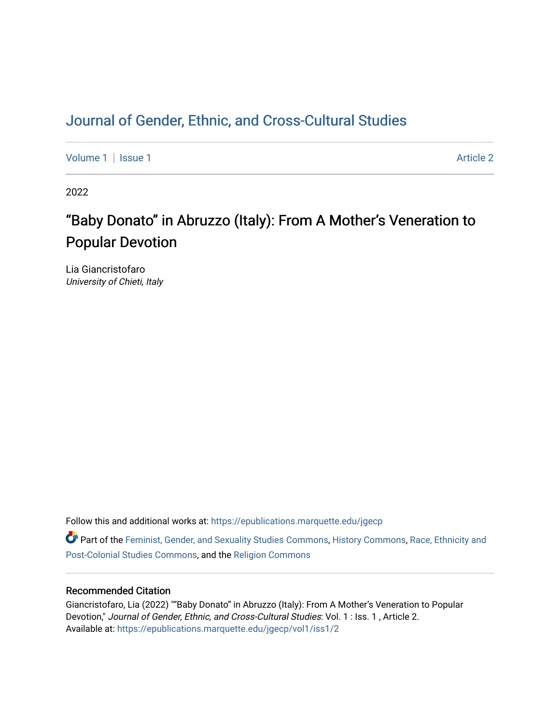## [Journal of Gender, Ethnic, and Cross-Cultural Studies](https://epublications.marquette.edu/jgecp)

[Volume 1](https://epublications.marquette.edu/jgecp/vol1) | [Issue 1](https://epublications.marquette.edu/jgecp/vol1/iss1) Article 2

2022

# "Baby Donato" in Abruzzo (Italy): From A Mother's Veneration to Popular Devotion

Lia Giancristofaro University of Chieti, Italy

Follow this and additional works at: [https://epublications.marquette.edu/jgecp](https://epublications.marquette.edu/jgecp?utm_source=epublications.marquette.edu%2Fjgecp%2Fvol1%2Fiss1%2F2&utm_medium=PDF&utm_campaign=PDFCoverPages) 

Part of the [Feminist, Gender, and Sexuality Studies Commons](http://network.bepress.com/hgg/discipline/559?utm_source=epublications.marquette.edu%2Fjgecp%2Fvol1%2Fiss1%2F2&utm_medium=PDF&utm_campaign=PDFCoverPages), [History Commons,](http://network.bepress.com/hgg/discipline/489?utm_source=epublications.marquette.edu%2Fjgecp%2Fvol1%2Fiss1%2F2&utm_medium=PDF&utm_campaign=PDFCoverPages) [Race, Ethnicity and](http://network.bepress.com/hgg/discipline/566?utm_source=epublications.marquette.edu%2Fjgecp%2Fvol1%2Fiss1%2F2&utm_medium=PDF&utm_campaign=PDFCoverPages)  [Post-Colonial Studies Commons,](http://network.bepress.com/hgg/discipline/566?utm_source=epublications.marquette.edu%2Fjgecp%2Fvol1%2Fiss1%2F2&utm_medium=PDF&utm_campaign=PDFCoverPages) and the [Religion Commons](http://network.bepress.com/hgg/discipline/538?utm_source=epublications.marquette.edu%2Fjgecp%2Fvol1%2Fiss1%2F2&utm_medium=PDF&utm_campaign=PDFCoverPages) 

#### Recommended Citation

Giancristofaro, Lia (2022) ""Baby Donato" in Abruzzo (Italy): From A Mother's Veneration to Popular Devotion," Journal of Gender, Ethnic, and Cross-Cultural Studies: Vol. 1 : Iss. 1, Article 2. Available at: [https://epublications.marquette.edu/jgecp/vol1/iss1/2](https://epublications.marquette.edu/jgecp/vol1/iss1/2?utm_source=epublications.marquette.edu%2Fjgecp%2Fvol1%2Fiss1%2F2&utm_medium=PDF&utm_campaign=PDFCoverPages)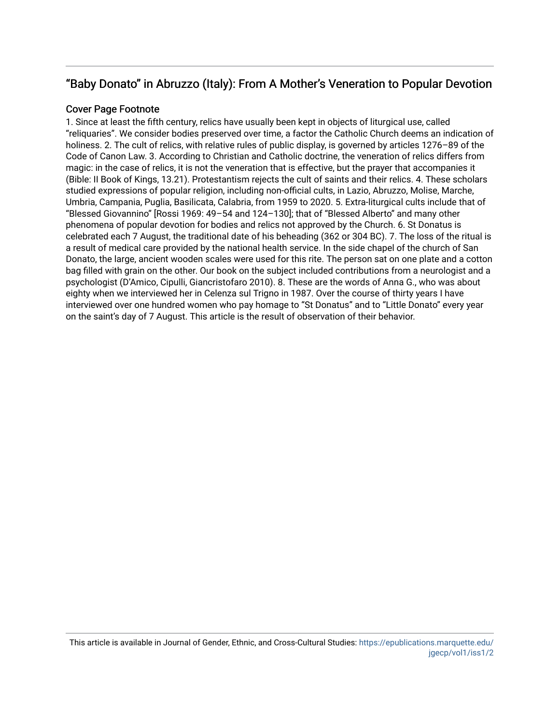### " Baby Donato" in Abruzzo (Italy): From A Mother's Veneration to Popular Devotion

#### Cover Page Footnote

1. Since at least the fifth century, relics have usually been kept in objects of liturgical use, called "reliquaries". We consider bodies preserved over time, a factor the Catholic Church deems an indication of holiness. 2. The cult of relics, with relative rules of public display, is governed by articles 1276–89 of the Code of Canon Law. 3. According to Christian and Catholic doctrine, the veneration of relics differs from magic: in the case of relics, it is not the veneration that is effective, but the prayer that accompanies it (Bible: II Book of Kings, 13.21). Protestantism rejects the cult of saints and their relics. 4. These scholars studied expressions of popular religion, including non-official cults, in Lazio, Abruzzo, Molise, Marche, Umbria, Campania, Puglia, Basilicata, Calabria, from 1959 to 2020. 5. Extra-liturgical cults include that of "Blessed Giovannino" [Rossi 1969: 49–54 and 124–130]; that of "Blessed Alberto" and many other phenomena of popular devotion for bodies and relics not approved by the Church. 6. St Donatus is celebrated each 7 August, the traditional date of his beheading (362 or 304 BC). 7. The loss of the ritual is a result of medical care provided by the national health service. In the side chapel of the church of San Donato, the large, ancient wooden scales were used for this rite. The person sat on one plate and a cotton bag filled with grain on the other. Our book on the subject included contributions from a neurologist and a psychologist (D'Amico, Cipulli, Giancristofaro 2010). 8. These are the words of Anna G., who was about eighty when we interviewed her in Celenza sul Trigno in 1987. Over the course of thirty years I have interviewed over one hundred women who pay homage to "St Donatus" and to "Little Donato" every year on the saint's day of 7 August. This article is the result of observation of their behavior.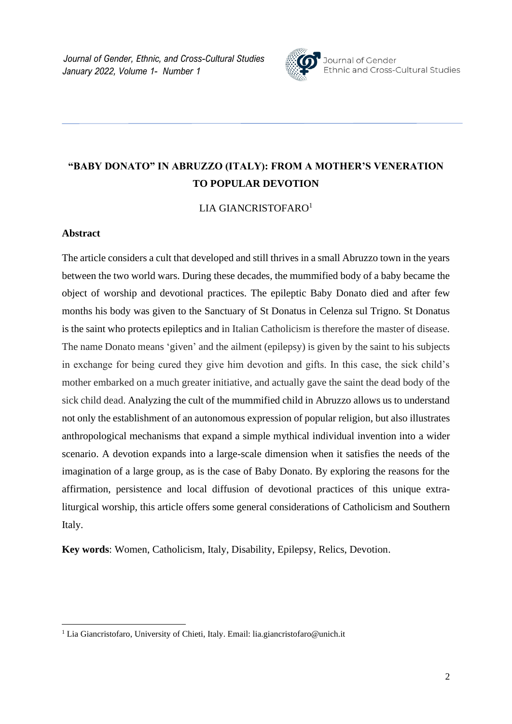*Journal of Gender, Ethnic, and Cross-Cultural Studies January 2022, Volume 1- Number 1*



Journal of Gender Ethnic and Cross-Cultural Studies

## **"BABY DONATO" IN ABRUZZO (ITALY): FROM A MOTHER'S VENERATION TO POPULAR DEVOTION**

LIA GIANCRISTOFARO<sup>1</sup>

#### **Abstract**

The article considers a cult that developed and still thrives in a small Abruzzo town in the years between the two world wars. During these decades, the mummified body of a baby became the object of worship and devotional practices. The epileptic Baby Donato died and after few months his body was given to the Sanctuary of St Donatus in Celenza sul Trigno. St Donatus is the saint who protects epileptics and in Italian Catholicism is therefore the master of disease. The name Donato means 'given' and the ailment (epilepsy) is given by the saint to his subjects in exchange for being cured they give him devotion and gifts. In this case, the sick child's mother embarked on a much greater initiative, and actually gave the saint the dead body of the sick child dead. Analyzing the cult of the mummified child in Abruzzo allows us to understand not only the establishment of an autonomous expression of popular religion, but also illustrates anthropological mechanisms that expand a simple mythical individual invention into a wider scenario. A devotion expands into a large-scale dimension when it satisfies the needs of the imagination of a large group, as is the case of Baby Donato. By exploring the reasons for the affirmation, persistence and local diffusion of devotional practices of this unique extraliturgical worship, this article offers some general considerations of Catholicism and Southern Italy.

**Key words**: Women, Catholicism, Italy, Disability, Epilepsy, Relics, Devotion.

<sup>&</sup>lt;sup>1</sup> Lia Giancristofaro, University of Chieti, Italy. Email: lia.giancristofaro@unich.it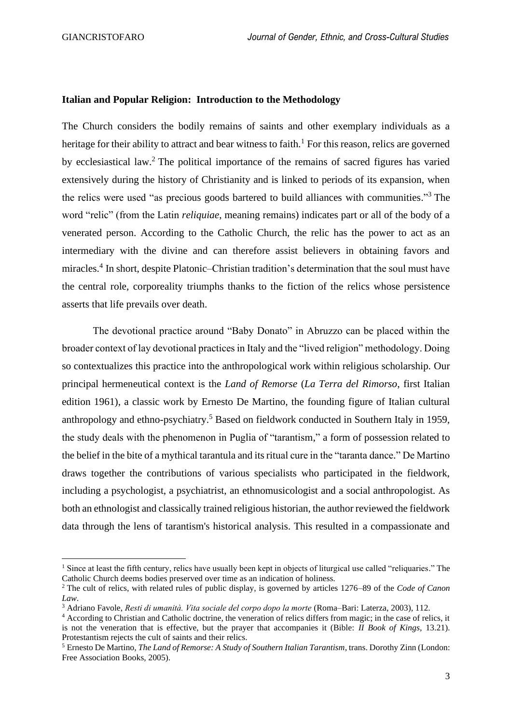#### **Italian and Popular Religion: Introduction to the Methodology**

The Church considers the bodily remains of saints and other exemplary individuals as a heritage for their ability to attract and bear witness to faith.<sup>1</sup> For this reason, relics are governed by ecclesiastical law.<sup>2</sup> The political importance of the remains of sacred figures has varied extensively during the history of Christianity and is linked to periods of its expansion, when the relics were used "as precious goods bartered to build alliances with communities." <sup>3</sup> The word "relic" (from the Latin *reliquiae*, meaning remains) indicates part or all of the body of a venerated person. According to the Catholic Church, the relic has the power to act as an intermediary with the divine and can therefore assist believers in obtaining favors and miracles.<sup>4</sup> In short, despite Platonic–Christian tradition's determination that the soul must have the central role, corporeality triumphs thanks to the fiction of the relics whose persistence asserts that life prevails over death.

The devotional practice around "Baby Donato" in Abruzzo can be placed within the broader context of lay devotional practices in Italy and the "lived religion" methodology. Doing so contextualizes this practice into the anthropological work within religious scholarship. Our principal hermeneutical context is the *Land of Remorse* (*La Terra del Rimorso*, first Italian edition 1961), a classic work by Ernesto De Martino, the founding figure of Italian cultural anthropology and ethno-psychiatry.<sup>5</sup> Based on fieldwork conducted in Southern Italy in 1959, the study deals with the phenomenon in Puglia of "tarantism," a form of possession related to the belief in the bite of a mythical tarantula and its ritual cure in the "taranta dance." De Martino draws together the contributions of various specialists who participated in the fieldwork, including a psychologist, a psychiatrist, an ethnomusicologist and a social anthropologist. As both an ethnologist and classically trained religious historian, the author reviewed the fieldwork data through the lens of tarantism's historical analysis. This resulted in a compassionate and

<sup>&</sup>lt;sup>1</sup> Since at least the fifth century, relics have usually been kept in objects of liturgical use called "reliquaries." The Catholic Church deems bodies preserved over time as an indication of holiness.

<sup>2</sup> The cult of relics, with related rules of public display, is governed by articles 1276–89 of the *Code of Canon Law*.

<sup>3</sup> Adriano Favole, *Resti di umanità. Vita sociale del corpo dopo la morte* (Roma–Bari: Laterza, 2003), 112.

<sup>4</sup> According to Christian and Catholic doctrine, the veneration of relics differs from magic; in the case of relics, it is not the veneration that is effective, but the prayer that accompanies it (Bible: *II Book of Kings*, 13.21). Protestantism rejects the cult of saints and their relics.

<sup>5</sup> Ernesto De Martino, *The Land of Remorse: A Study of Southern Italian Tarantism*, trans. Dorothy Zinn (London: Free Association Books, 2005).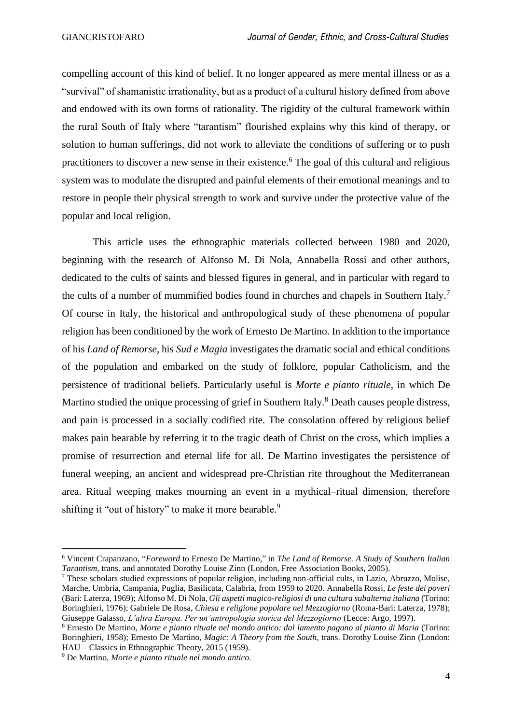compelling account of this kind of belief. It no longer appeared as mere mental illness or as a "survival" of shamanistic irrationality, but as a product of a cultural history defined from above and endowed with its own forms of rationality. The rigidity of the cultural framework within the rural South of Italy where "tarantism" flourished explains why this kind of therapy, or solution to human sufferings, did not work to alleviate the conditions of suffering or to push practitioners to discover a new sense in their existence. <sup>6</sup> The goal of this cultural and religious system was to modulate the disrupted and painful elements of their emotional meanings and to restore in people their physical strength to work and survive under the protective value of the popular and local religion.

This article uses the ethnographic materials collected between 1980 and 2020, beginning with the research of Alfonso M. Di Nola, Annabella Rossi and other authors, dedicated to the cults of saints and blessed figures in general, and in particular with regard to the cults of a number of mummified bodies found in churches and chapels in Southern Italy.<sup>7</sup> Of course in Italy, the historical and anthropological study of these phenomena of popular religion has been conditioned by the work of Ernesto De Martino. In addition to the importance of his *Land of Remorse*, his *Sud e Magia* investigates the dramatic social and ethical conditions of the population and embarked on the study of folklore, popular Catholicism, and the persistence of traditional beliefs. Particularly useful is *Morte e pianto rituale*, in which De Martino studied the unique processing of grief in Southern Italy.<sup>8</sup> Death causes people distress, and pain is processed in a socially codified rite. The consolation offered by religious belief makes pain bearable by referring it to the tragic death of Christ on the cross, which implies a promise of resurrection and eternal life for all. De Martino investigates the persistence of funeral weeping, an ancient and widespread pre-Christian rite throughout the Mediterranean area. Ritual weeping makes mourning an event in a mythical–ritual dimension, therefore shifting it "out of history" to make it more bearable.<sup>9</sup>

<sup>6</sup> Vincent Crapanzano, "*Foreword* to Ernesto De Martino," in *The Land of Remorse. A Study of Southern Italian Tarantism,* trans. and annotated Dorothy Louise Zinn (London, Free Association Books, 2005).

<sup>7</sup> These scholars studied expressions of popular religion, including non-official cults, in Lazio, Abruzzo, Molise, Marche, Umbria, Campania, Puglia, Basilicata, Calabria, from 1959 to 2020. Annabella Rossi, *Le feste dei poveri* (Bari: Laterza, 1969); Alfonso M. Di Nola, *Gli aspetti magico-religiosi di una cultura subalterna italiana* (Torino: Boringhieri, 1976); Gabriele De Rosa, *Chiesa e religione popolare nel Mezzogiorno* (Roma-Bari: Laterza, 1978); Giuseppe Galasso, *L'altra Europa. Per un'antropologia storica del Mezzogiorno* (Lecce: Argo, 1997).

<sup>8</sup> Ernesto De Martino, *Morte e pianto rituale nel mondo antico: dal lamento pagano al pianto di Maria* (Torino: Boringhieri, 1958); Ernesto De Martino, *Magic: A Theory from the South*, trans. Dorothy Louise Zinn (London: HAU – Classics in Ethnographic Theory, 2015 (1959).

<sup>9</sup> De Martino, *Morte e pianto rituale nel mondo antico.*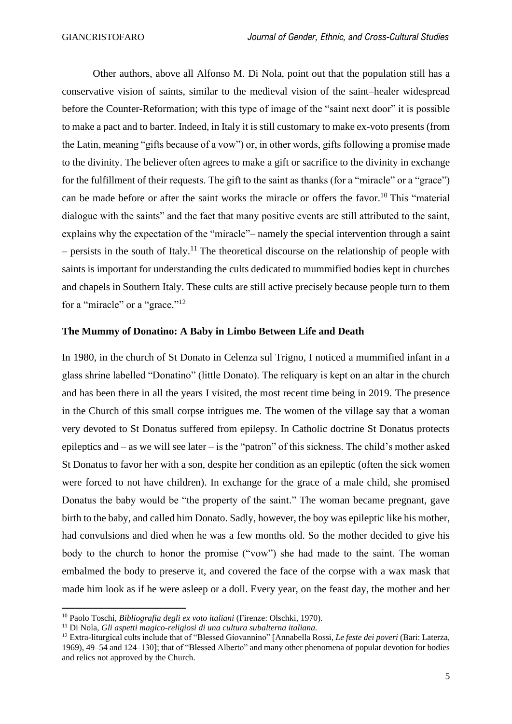Other authors, above all Alfonso M. Di Nola, point out that the population still has a conservative vision of saints, similar to the medieval vision of the saint–healer widespread before the Counter-Reformation; with this type of image of the "saint next door" it is possible to make a pact and to barter. Indeed, in Italy it is still customary to make ex-voto presents (from the Latin, meaning "gifts because of a vow") or, in other words, gifts following a promise made to the divinity. The believer often agrees to make a gift or sacrifice to the divinity in exchange for the fulfillment of their requests. The gift to the saint as thanks (for a "miracle" or a "grace") can be made before or after the saint works the miracle or offers the favor.<sup>10</sup> This "material" dialogue with the saints" and the fact that many positive events are still attributed to the saint, explains why the expectation of the "miracle"– namely the special intervention through a saint  $-$  persists in the south of Italy.<sup>11</sup> The theoretical discourse on the relationship of people with saints is important for understanding the cults dedicated to mummified bodies kept in churches and chapels in Southern Italy. These cults are still active precisely because people turn to them for a "miracle" or a "grace."<sup>12</sup>

#### **The Mummy of Donatino: A Baby in Limbo Between Life and Death**

In 1980, in the church of St Donato in Celenza sul Trigno, I noticed a mummified infant in a glass shrine labelled "Donatino" (little Donato). The reliquary is kept on an altar in the church and has been there in all the years I visited, the most recent time being in 2019. The presence in the Church of this small corpse intrigues me. The women of the village say that a woman very devoted to St Donatus suffered from epilepsy. In Catholic doctrine St Donatus protects epileptics and – as we will see later – is the "patron" of this sickness. The child's mother asked St Donatus to favor her with a son, despite her condition as an epileptic (often the sick women were forced to not have children). In exchange for the grace of a male child, she promised Donatus the baby would be "the property of the saint." The woman became pregnant, gave birth to the baby, and called him Donato. Sadly, however, the boy was epileptic like his mother, had convulsions and died when he was a few months old. So the mother decided to give his body to the church to honor the promise ("vow") she had made to the saint. The woman embalmed the body to preserve it, and covered the face of the corpse with a wax mask that made him look as if he were asleep or a doll. Every year, on the feast day, the mother and her

<sup>10</sup> Paolo Toschi, *Bibliografia degli ex voto italiani* (Firenze: Olschki, 1970).

<sup>11</sup> Di Nola, *Gli aspetti magico-religiosi di una cultura subalterna italiana.* 

<sup>12</sup> Extra-liturgical cults include that of "Blessed Giovannino" [Annabella Rossi, *Le feste dei poveri* (Bari: Laterza, 1969), 49–54 and 124–130]; that of "Blessed Alberto" and many other phenomena of popular devotion for bodies and relics not approved by the Church.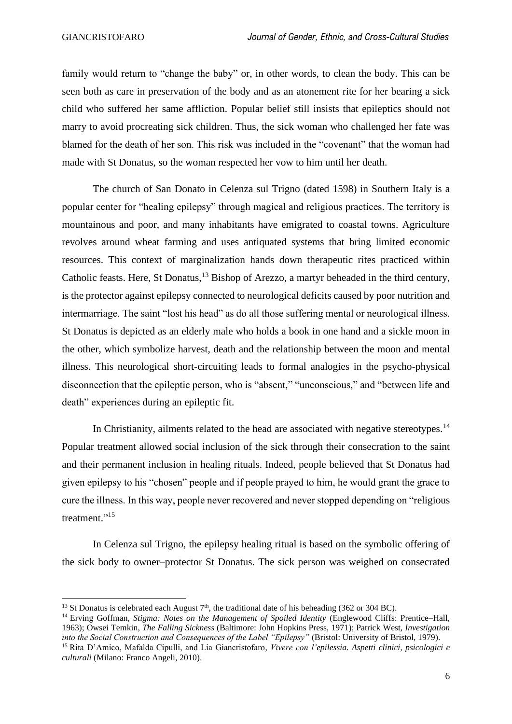family would return to "change the baby" or, in other words, to clean the body. This can be seen both as care in preservation of the body and as an atonement rite for her bearing a sick child who suffered her same affliction. Popular belief still insists that epileptics should not marry to avoid procreating sick children. Thus, the sick woman who challenged her fate was blamed for the death of her son. This risk was included in the "covenant" that the woman had made with St Donatus, so the woman respected her vow to him until her death.

The church of San Donato in Celenza sul Trigno (dated 1598) in Southern Italy is a popular center for "healing epilepsy" through magical and religious practices. The territory is mountainous and poor, and many inhabitants have emigrated to coastal towns. Agriculture revolves around wheat farming and uses antiquated systems that bring limited economic resources. This context of marginalization hands down therapeutic rites practiced within Catholic feasts. Here, St Donatus,<sup>13</sup> Bishop of Arezzo, a martyr beheaded in the third century, is the protector against epilepsy connected to neurological deficits caused by poor nutrition and intermarriage. The saint "lost his head" as do all those suffering mental or neurological illness. St Donatus is depicted as an elderly male who holds a book in one hand and a sickle moon in the other, which symbolize harvest, death and the relationship between the moon and mental illness. This neurological short-circuiting leads to formal analogies in the psycho-physical disconnection that the epileptic person, who is "absent," "unconscious," and "between life and death" experiences during an epileptic fit.

In Christianity, ailments related to the head are associated with negative stereotypes.<sup>14</sup> Popular treatment allowed social inclusion of the sick through their consecration to the saint and their permanent inclusion in healing rituals. Indeed, people believed that St Donatus had given epilepsy to his "chosen" people and if people prayed to him, he would grant the grace to cure the illness. In this way, people never recovered and never stopped depending on "religious treatment."<sup>15</sup>

In Celenza sul Trigno, the epilepsy healing ritual is based on the symbolic offering of the sick body to owner–protector St Donatus. The sick person was weighed on consecrated

<sup>&</sup>lt;sup>13</sup> St Donatus is celebrated each August  $7<sup>th</sup>$ , the traditional date of his beheading (362 or 304 BC).

<sup>14</sup> Erving Goffman, *Stigma: Notes on the Management of Spoiled Identity* (Englewood Cliffs: Prentice–Hall, 1963); Owsei Temkin, *The Falling Sickness* (Baltimore: John Hopkins Press, 1971); Patrick West, *Investigation into the Social Construction and Consequences of the Label "Epilepsy"* (Bristol: University of Bristol, 1979).

<sup>15</sup> Rita D'Amico, Mafalda Cipulli, and Lia Giancristofaro, *Vivere con l'epilessia. Aspetti clinici, psicologici e culturali* (Milano: Franco Angeli, 2010).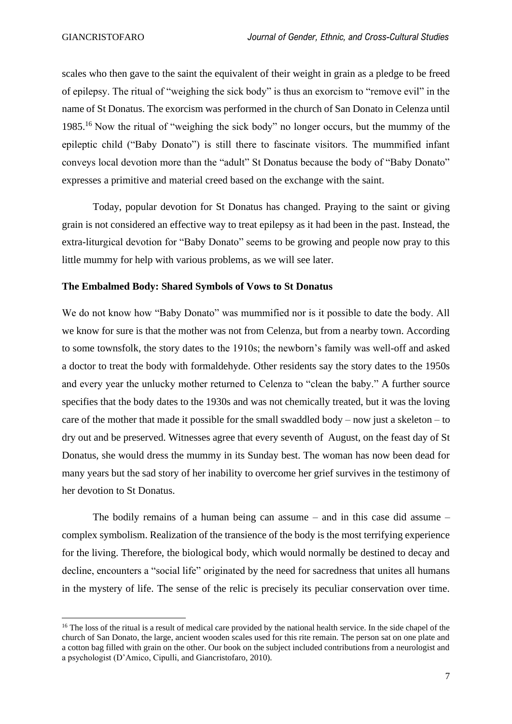scales who then gave to the saint the equivalent of their weight in grain as a pledge to be freed of epilepsy. The ritual of "weighing the sick body" is thus an exorcism to "remove evil" in the name of St Donatus. The exorcism was performed in the church of San Donato in Celenza until 1985.<sup>16</sup> Now the ritual of "weighing the sick body" no longer occurs, but the mummy of the epileptic child ("Baby Donato") is still there to fascinate visitors. The mummified infant conveys local devotion more than the "adult" St Donatus because the body of "Baby Donato" expresses a primitive and material creed based on the exchange with the saint.

Today, popular devotion for St Donatus has changed. Praying to the saint or giving grain is not considered an effective way to treat epilepsy as it had been in the past. Instead, the extra-liturgical devotion for "Baby Donato" seems to be growing and people now pray to this little mummy for help with various problems, as we will see later.

#### **The Embalmed Body: Shared Symbols of Vows to St Donatus**

We do not know how "Baby Donato" was mummified nor is it possible to date the body. All we know for sure is that the mother was not from Celenza, but from a nearby town. According to some townsfolk, the story dates to the 1910s; the newborn's family was well-off and asked a doctor to treat the body with formaldehyde. Other residents say the story dates to the 1950s and every year the unlucky mother returned to Celenza to "clean the baby." A further source specifies that the body dates to the 1930s and was not chemically treated, but it was the loving care of the mother that made it possible for the small swaddled body – now just a skeleton – to dry out and be preserved. Witnesses agree that every seventh of August, on the feast day of St Donatus, she would dress the mummy in its Sunday best. The woman has now been dead for many years but the sad story of her inability to overcome her grief survives in the testimony of her devotion to St Donatus.

The bodily remains of a human being can assume – and in this case did assume – complex symbolism. Realization of the transience of the body is the most terrifying experience for the living. Therefore, the biological body, which would normally be destined to decay and decline, encounters a "social life" originated by the need for sacredness that unites all humans in the mystery of life. The sense of the relic is precisely its peculiar conservation over time.

<sup>&</sup>lt;sup>16</sup> The loss of the ritual is a result of medical care provided by the national health service. In the side chapel of the church of San Donato, the large, ancient wooden scales used for this rite remain. The person sat on one plate and a cotton bag filled with grain on the other. Our book on the subject included contributions from a neurologist and a psychologist (D'Amico, Cipulli, and Giancristofaro, 2010).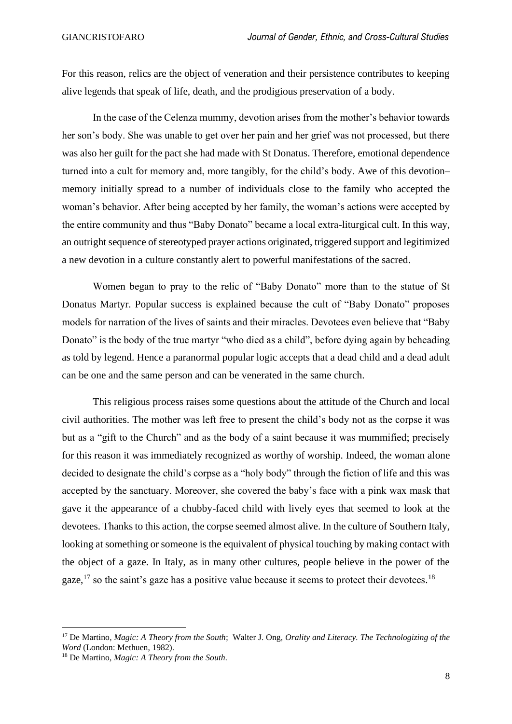For this reason, relics are the object of veneration and their persistence contributes to keeping alive legends that speak of life, death, and the prodigious preservation of a body.

In the case of the Celenza mummy, devotion arises from the mother's behavior towards her son's body. She was unable to get over her pain and her grief was not processed, but there was also her guilt for the pact she had made with St Donatus. Therefore, emotional dependence turned into a cult for memory and, more tangibly, for the child's body. Awe of this devotion– memory initially spread to a number of individuals close to the family who accepted the woman's behavior. After being accepted by her family, the woman's actions were accepted by the entire community and thus "Baby Donato" became a local extra-liturgical cult. In this way, an outright sequence of stereotyped prayer actions originated, triggered support and legitimized a new devotion in a culture constantly alert to powerful manifestations of the sacred.

Women began to pray to the relic of "Baby Donato" more than to the statue of St Donatus Martyr. Popular success is explained because the cult of "Baby Donato" proposes models for narration of the lives of saints and their miracles. Devotees even believe that "Baby Donato" is the body of the true martyr "who died as a child", before dying again by beheading as told by legend. Hence a paranormal popular logic accepts that a dead child and a dead adult can be one and the same person and can be venerated in the same church.

This religious process raises some questions about the attitude of the Church and local civil authorities. The mother was left free to present the child's body not as the corpse it was but as a "gift to the Church" and as the body of a saint because it was mummified; precisely for this reason it was immediately recognized as worthy of worship. Indeed, the woman alone decided to designate the child's corpse as a "holy body" through the fiction of life and this was accepted by the sanctuary. Moreover, she covered the baby's face with a pink wax mask that gave it the appearance of a chubby-faced child with lively eyes that seemed to look at the devotees. Thanks to this action, the corpse seemed almost alive. In the culture of Southern Italy, looking at something or someone is the equivalent of physical touching by making contact with the object of a gaze. In Italy, as in many other cultures, people believe in the power of the gaze,<sup>17</sup> so the saint's gaze has a positive value because it seems to protect their devotees.<sup>18</sup>

<sup>17</sup> De Martino, *Magic: A Theory from the South*; Walter J. Ong, *Orality and Literacy. The Technologizing of the Word* (London: Methuen, 1982).

<sup>18</sup> De Martino, *Magic: A Theory from the South.*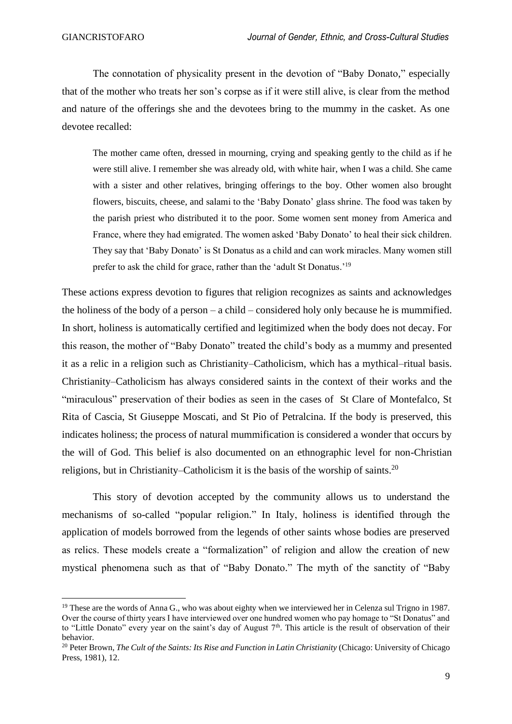The connotation of physicality present in the devotion of "Baby Donato," especially that of the mother who treats her son's corpse as if it were still alive, is clear from the method and nature of the offerings she and the devotees bring to the mummy in the casket. As one devotee recalled:

The mother came often, dressed in mourning, crying and speaking gently to the child as if he were still alive. I remember she was already old, with white hair, when I was a child. She came with a sister and other relatives, bringing offerings to the boy. Other women also brought flowers, biscuits, cheese, and salami to the 'Baby Donato' glass shrine. The food was taken by the parish priest who distributed it to the poor. Some women sent money from America and France, where they had emigrated. The women asked 'Baby Donato' to heal their sick children. They say that 'Baby Donato' is St Donatus as a child and can work miracles. Many women still prefer to ask the child for grace, rather than the 'adult St Donatus.'<sup>19</sup>

These actions express devotion to figures that religion recognizes as saints and acknowledges the holiness of the body of a person – a child – considered holy only because he is mummified. In short, holiness is automatically certified and legitimized when the body does not decay. For this reason, the mother of "Baby Donato" treated the child's body as a mummy and presented it as a relic in a religion such as Christianity–Catholicism, which has a mythical–ritual basis. Christianity–Catholicism has always considered saints in the context of their works and the "miraculous" preservation of their bodies as seen in the cases of St Clare of Montefalco, St Rita of Cascia, St Giuseppe Moscati, and St Pio of Petralcina. If the body is preserved, this indicates holiness; the process of natural mummification is considered a wonder that occurs by the will of God. This belief is also documented on an ethnographic level for non-Christian religions, but in Christianity–Catholicism it is the basis of the worship of saints.<sup>20</sup>

This story of devotion accepted by the community allows us to understand the mechanisms of so-called "popular religion." In Italy, holiness is identified through the application of models borrowed from the legends of other saints whose bodies are preserved as relics. These models create a "formalization" of religion and allow the creation of new mystical phenomena such as that of "Baby Donato." The myth of the sanctity of "Baby

<sup>&</sup>lt;sup>19</sup> These are the words of Anna G., who was about eighty when we interviewed her in Celenza sul Trigno in 1987. Over the course of thirty years I have interviewed over one hundred women who pay homage to "St Donatus" and to "Little Donato" every year on the saint's day of August  $7<sup>th</sup>$ . This article is the result of observation of their behavior.

<sup>&</sup>lt;sup>20</sup> Peter Brown, *The Cult of the Saints: Its Rise and Function in Latin Christianity* (Chicago: University of Chicago Press, 1981), 12.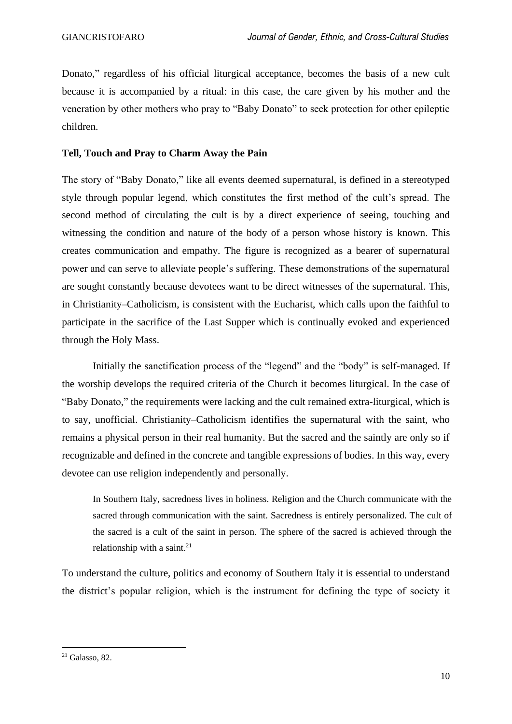Donato," regardless of his official liturgical acceptance, becomes the basis of a new cult because it is accompanied by a ritual: in this case, the care given by his mother and the veneration by other mothers who pray to "Baby Donato" to seek protection for other epileptic children.

#### **Tell, Touch and Pray to Charm Away the Pain**

The story of "Baby Donato," like all events deemed supernatural, is defined in a stereotyped style through popular legend, which constitutes the first method of the cult's spread. The second method of circulating the cult is by a direct experience of seeing, touching and witnessing the condition and nature of the body of a person whose history is known. This creates communication and empathy. The figure is recognized as a bearer of supernatural power and can serve to alleviate people's suffering. These demonstrations of the supernatural are sought constantly because devotees want to be direct witnesses of the supernatural. This, in Christianity–Catholicism, is consistent with the Eucharist, which calls upon the faithful to participate in the sacrifice of the Last Supper which is continually evoked and experienced through the Holy Mass.

Initially the sanctification process of the "legend" and the "body" is self-managed. If the worship develops the required criteria of the Church it becomes liturgical. In the case of "Baby Donato," the requirements were lacking and the cult remained extra-liturgical, which is to say, unofficial. Christianity–Catholicism identifies the supernatural with the saint, who remains a physical person in their real humanity. But the sacred and the saintly are only so if recognizable and defined in the concrete and tangible expressions of bodies. In this way, every devotee can use religion independently and personally.

In Southern Italy, sacredness lives in holiness. Religion and the Church communicate with the sacred through communication with the saint. Sacredness is entirely personalized. The cult of the sacred is a cult of the saint in person. The sphere of the sacred is achieved through the relationship with a saint.<sup>21</sup>

To understand the culture, politics and economy of Southern Italy it is essential to understand the district's popular religion, which is the instrument for defining the type of society it

<sup>21</sup> Galasso, 82.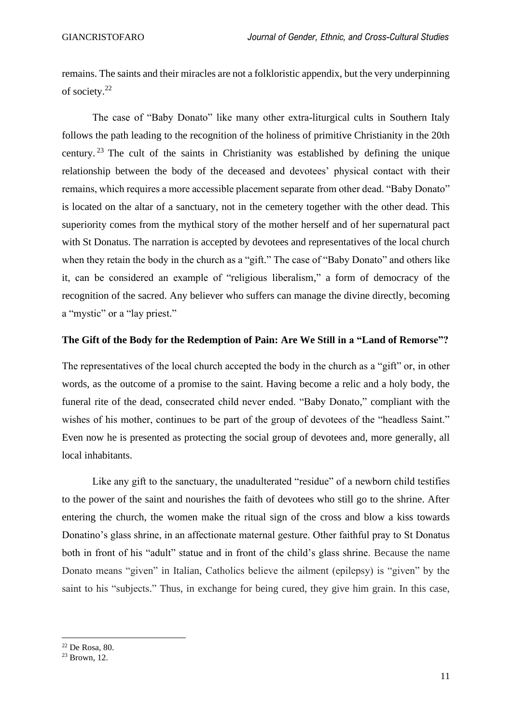remains. The saints and their miracles are not a folkloristic appendix, but the very underpinning of society. 22

The case of "Baby Donato" like many other extra-liturgical cults in Southern Italy follows the path leading to the recognition of the holiness of primitive Christianity in the 20th century.<sup>23</sup> The cult of the saints in Christianity was established by defining the unique relationship between the body of the deceased and devotees' physical contact with their remains, which requires a more accessible placement separate from other dead. "Baby Donato" is located on the altar of a sanctuary, not in the cemetery together with the other dead. This superiority comes from the mythical story of the mother herself and of her supernatural pact with St Donatus. The narration is accepted by devotees and representatives of the local church when they retain the body in the church as a "gift." The case of "Baby Donato" and others like it, can be considered an example of "religious liberalism," a form of democracy of the recognition of the sacred. Any believer who suffers can manage the divine directly, becoming a "mystic" or a "lay priest."

#### **The Gift of the Body for the Redemption of Pain: Are We Still in a "Land of Remorse"?**

The representatives of the local church accepted the body in the church as a "gift" or, in other words, as the outcome of a promise to the saint. Having become a relic and a holy body, the funeral rite of the dead, consecrated child never ended. "Baby Donato," compliant with the wishes of his mother, continues to be part of the group of devotees of the "headless Saint." Even now he is presented as protecting the social group of devotees and, more generally, all local inhabitants.

Like any gift to the sanctuary, the unadulterated "residue" of a newborn child testifies to the power of the saint and nourishes the faith of devotees who still go to the shrine. After entering the church, the women make the ritual sign of the cross and blow a kiss towards Donatino's glass shrine, in an affectionate maternal gesture. Other faithful pray to St Donatus both in front of his "adult" statue and in front of the child's glass shrine. Because the name Donato means "given" in Italian, Catholics believe the ailment (epilepsy) is "given" by the saint to his "subjects." Thus, in exchange for being cured, they give him grain. In this case,

<sup>22</sup> De Rosa, 80.

 $23$  Brown, 12.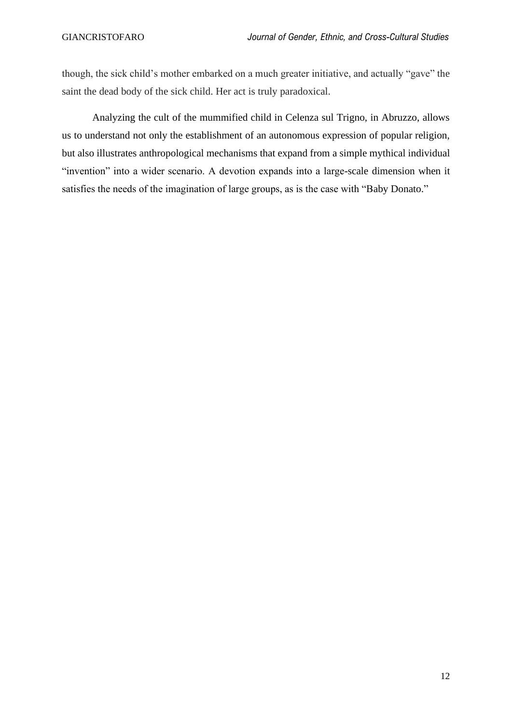though, the sick child's mother embarked on a much greater initiative, and actually "gave" the saint the dead body of the sick child. Her act is truly paradoxical.

Analyzing the cult of the mummified child in Celenza sul Trigno, in Abruzzo, allows us to understand not only the establishment of an autonomous expression of popular religion, but also illustrates anthropological mechanisms that expand from a simple mythical individual "invention" into a wider scenario. A devotion expands into a large-scale dimension when it satisfies the needs of the imagination of large groups, as is the case with "Baby Donato."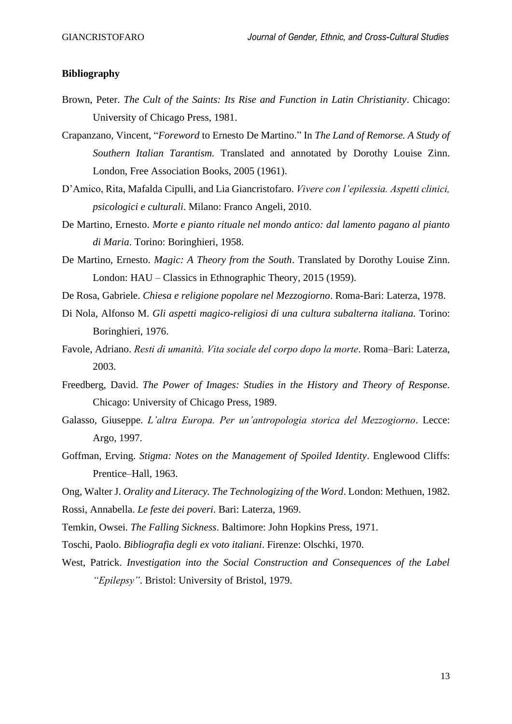#### **Bibliography**

- Brown, Peter. *The Cult of the Saints: Its Rise and Function in Latin Christianity*. Chicago: University of Chicago Press, 1981.
- Crapanzano, Vincent, "*Foreword* to Ernesto De Martino." In *The Land of Remorse. A Study of Southern Italian Tarantism.* Translated and annotated by Dorothy Louise Zinn. London, Free Association Books, 2005 (1961).
- D'Amico, Rita, Mafalda Cipulli, and Lia Giancristofaro. *Vivere con l'epilessia. Aspetti clinici, psicologici e culturali*. Milano: Franco Angeli, 2010.
- De Martino, Ernesto. *Morte e pianto rituale nel mondo antico: dal lamento pagano al pianto di Maria*. Torino: Boringhieri, 1958.
- De Martino, Ernesto. *Magic: A Theory from the South*. Translated by Dorothy Louise Zinn. London: HAU – Classics in Ethnographic Theory, 2015 (1959).
- De Rosa, Gabriele. *Chiesa e religione popolare nel Mezzogiorno*. Roma-Bari: Laterza, 1978.
- Di Nola, Alfonso M. *Gli aspetti magico-religiosi di una cultura subalterna italiana.* Torino: Boringhieri, 1976.
- Favole, Adriano. *Resti di umanità. Vita sociale del corpo dopo la morte*. Roma–Bari: Laterza, 2003.
- Freedberg, David. *The Power of Images: Studies in the History and Theory of Response*. Chicago: University of Chicago Press, 1989.
- Galasso, Giuseppe. *L'altra Europa. Per un'antropologia storica del Mezzogiorno*. Lecce: Argo, 1997.
- Goffman, Erving. *Stigma: Notes on the Management of Spoiled Identity*. Englewood Cliffs: Prentice–Hall, 1963.
- Ong, Walter J. *Orality and Literacy. The Technologizing of the Word*. London: Methuen, 1982. Rossi, Annabella. *Le feste dei poveri*. Bari: Laterza, 1969.
- Temkin, Owsei. *The Falling Sickness*. Baltimore: John Hopkins Press, 1971.
- Toschi, Paolo. *Bibliografia degli ex voto italiani*. Firenze: Olschki, 1970.
- West, Patrick. *Investigation into the Social Construction and Consequences of the Label "Epilepsy"*. Bristol: University of Bristol, 1979.